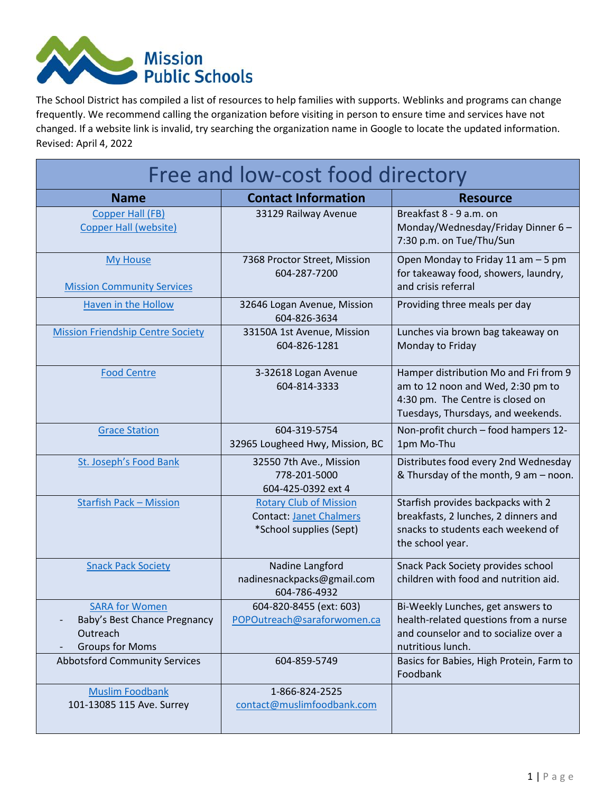

The School District has compiled a list of resources to help families with supports. Weblinks and programs can change frequently. We recommend calling the organization before visiting in person to ensure time and services have not changed. If a website link is invalid, try searching the organization name in Google to locate the updated information. Revised: April 4, 2022

| Free and low-cost food directory                                                            |                                                                                            |                                                                                                                                                      |
|---------------------------------------------------------------------------------------------|--------------------------------------------------------------------------------------------|------------------------------------------------------------------------------------------------------------------------------------------------------|
| <b>Name</b>                                                                                 | <b>Contact Information</b>                                                                 | <b>Resource</b>                                                                                                                                      |
| <b>Copper Hall (FB)</b><br>Copper Hall (website)                                            | 33129 Railway Avenue                                                                       | Breakfast 8 - 9 a.m. on<br>Monday/Wednesday/Friday Dinner 6-<br>7:30 p.m. on Tue/Thu/Sun                                                             |
| <b>My House</b><br><b>Mission Community Services</b>                                        | 7368 Proctor Street, Mission<br>604-287-7200                                               | Open Monday to Friday 11 am - 5 pm<br>for takeaway food, showers, laundry,<br>and crisis referral                                                    |
| Haven in the Hollow                                                                         | 32646 Logan Avenue, Mission<br>604-826-3634                                                | Providing three meals per day                                                                                                                        |
| <b>Mission Friendship Centre Society</b>                                                    | 33150A 1st Avenue, Mission<br>604-826-1281                                                 | Lunches via brown bag takeaway on<br>Monday to Friday                                                                                                |
| <b>Food Centre</b>                                                                          | 3-32618 Logan Avenue<br>604-814-3333                                                       | Hamper distribution Mo and Fri from 9<br>am to 12 noon and Wed, 2:30 pm to<br>4:30 pm. The Centre is closed on<br>Tuesdays, Thursdays, and weekends. |
| <b>Grace Station</b>                                                                        | 604-319-5754<br>32965 Lougheed Hwy, Mission, BC                                            | Non-profit church - food hampers 12-<br>1pm Mo-Thu                                                                                                   |
| St. Joseph's Food Bank                                                                      | 32550 7th Ave., Mission<br>778-201-5000<br>604-425-0392 ext 4                              | Distributes food every 2nd Wednesday<br>& Thursday of the month, 9 am - noon.                                                                        |
| <b>Starfish Pack - Mission</b>                                                              | <b>Rotary Club of Mission</b><br><b>Contact: Janet Chalmers</b><br>*School supplies (Sept) | Starfish provides backpacks with 2<br>breakfasts, 2 lunches, 2 dinners and<br>snacks to students each weekend of<br>the school year.                 |
| <b>Snack Pack Society</b>                                                                   | Nadine Langford<br>nadinesnackpacks@gmail.com<br>604-786-4932                              | Snack Pack Society provides school<br>children with food and nutrition aid.                                                                          |
| <b>SARA for Women</b><br>Baby's Best Chance Pregnancy<br>Outreach<br><b>Groups for Moms</b> | 604-820-8455 (ext: 603)<br>POPOutreach@saraforwomen.ca                                     | Bi-Weekly Lunches, get answers to<br>health-related questions from a nurse<br>and counselor and to socialize over a<br>nutritious lunch.             |
| <b>Abbotsford Community Services</b>                                                        | 604-859-5749                                                                               | Basics for Babies, High Protein, Farm to<br>Foodbank                                                                                                 |
| <b>Muslim Foodbank</b><br>101-13085 115 Ave. Surrey                                         | 1-866-824-2525<br>contact@muslimfoodbank.com                                               |                                                                                                                                                      |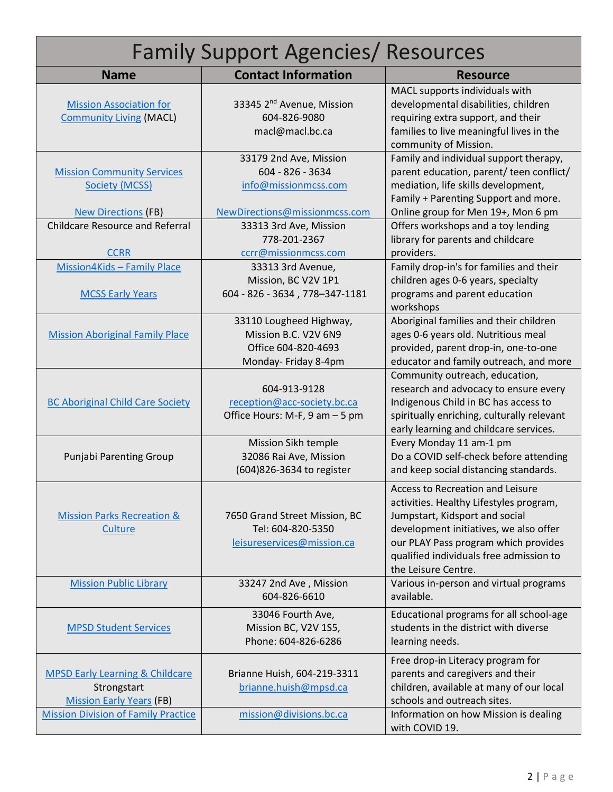| <b>Family Support Agencies/ Resources</b>                                                                                   |                                                                                                                               |                                                                                                                                                                                                                                                                          |  |
|-----------------------------------------------------------------------------------------------------------------------------|-------------------------------------------------------------------------------------------------------------------------------|--------------------------------------------------------------------------------------------------------------------------------------------------------------------------------------------------------------------------------------------------------------------------|--|
| <b>Name</b>                                                                                                                 | <b>Contact Information</b>                                                                                                    | <b>Resource</b>                                                                                                                                                                                                                                                          |  |
| <b>Mission Association for</b><br><b>Community Living (MACL)</b>                                                            | 33345 2 <sup>nd</sup> Avenue, Mission<br>604-826-9080<br>macl@macl.bc.ca                                                      | MACL supports individuals with<br>developmental disabilities, children<br>requiring extra support, and their<br>families to live meaningful lives in the<br>community of Mission.                                                                                        |  |
| <b>Mission Community Services</b><br>Society (MCSS)<br><b>New Directions (FB)</b><br><b>Childcare Resource and Referral</b> | 33179 2nd Ave, Mission<br>604 - 826 - 3634<br>info@missionmcss.com<br>NewDirections@missionmcss.com<br>33313 3rd Ave, Mission | Family and individual support therapy,<br>parent education, parent/ teen conflict/<br>mediation, life skills development,<br>Family + Parenting Support and more.<br>Online group for Men 19+, Mon 6 pm<br>Offers workshops and a toy lending                            |  |
| <b>CCRR</b>                                                                                                                 | 778-201-2367<br>ccrr@missionmcss.com                                                                                          | library for parents and childcare<br>providers.                                                                                                                                                                                                                          |  |
| Mission4Kids - Family Place<br><b>MCSS Early Years</b>                                                                      | 33313 3rd Avenue,<br>Mission, BC V2V 1P1<br>604 - 826 - 3634, 778-347-1181                                                    | Family drop-in's for families and their<br>children ages 0-6 years, specialty<br>programs and parent education<br>workshops                                                                                                                                              |  |
| <b>Mission Aboriginal Family Place</b>                                                                                      | 33110 Lougheed Highway,<br>Mission B.C. V2V 6N9<br>Office 604-820-4693<br>Monday- Friday 8-4pm                                | Aboriginal families and their children<br>ages 0-6 years old. Nutritious meal<br>provided, parent drop-in, one-to-one<br>educator and family outreach, and more                                                                                                          |  |
| <b>BC Aboriginal Child Care Society</b>                                                                                     | 604-913-9128<br>reception@acc-society.bc.ca<br>Office Hours: M-F, 9 am - 5 pm                                                 | Community outreach, education,<br>research and advocacy to ensure every<br>Indigenous Child in BC has access to<br>spiritually enriching, culturally relevant<br>early learning and childcare services.                                                                  |  |
| <b>Punjabi Parenting Group</b>                                                                                              | Mission Sikh temple<br>32086 Rai Ave, Mission<br>(604)826-3634 to register                                                    | Every Monday 11 am-1 pm<br>Do a COVID self-check before attending<br>and keep social distancing standards.                                                                                                                                                               |  |
| <b>Mission Parks Recreation &amp;</b><br>Culture                                                                            | 7650 Grand Street Mission, BC<br>Tel: 604-820-5350<br>leisureservices@mission.ca                                              | <b>Access to Recreation and Leisure</b><br>activities. Healthy Lifestyles program,<br>Jumpstart, Kidsport and social<br>development initiatives, we also offer<br>our PLAY Pass program which provides<br>qualified individuals free admission to<br>the Leisure Centre. |  |
| <b>Mission Public Library</b>                                                                                               | 33247 2nd Ave, Mission<br>604-826-6610                                                                                        | Various in-person and virtual programs<br>available.                                                                                                                                                                                                                     |  |
| <b>MPSD Student Services</b>                                                                                                | 33046 Fourth Ave,<br>Mission BC, V2V 1S5,<br>Phone: 604-826-6286                                                              | Educational programs for all school-age<br>students in the district with diverse<br>learning needs.                                                                                                                                                                      |  |
| <b>MPSD Early Learning &amp; Childcare</b><br>Strongstart<br><b>Mission Early Years (FB)</b>                                | Brianne Huish, 604-219-3311<br>brianne.huish@mpsd.ca                                                                          | Free drop-in Literacy program for<br>parents and caregivers and their<br>children, available at many of our local<br>schools and outreach sites.                                                                                                                         |  |
| <b>Mission Division of Family Practice</b>                                                                                  | mission@divisions.bc.ca                                                                                                       | Information on how Mission is dealing<br>with COVID 19.                                                                                                                                                                                                                  |  |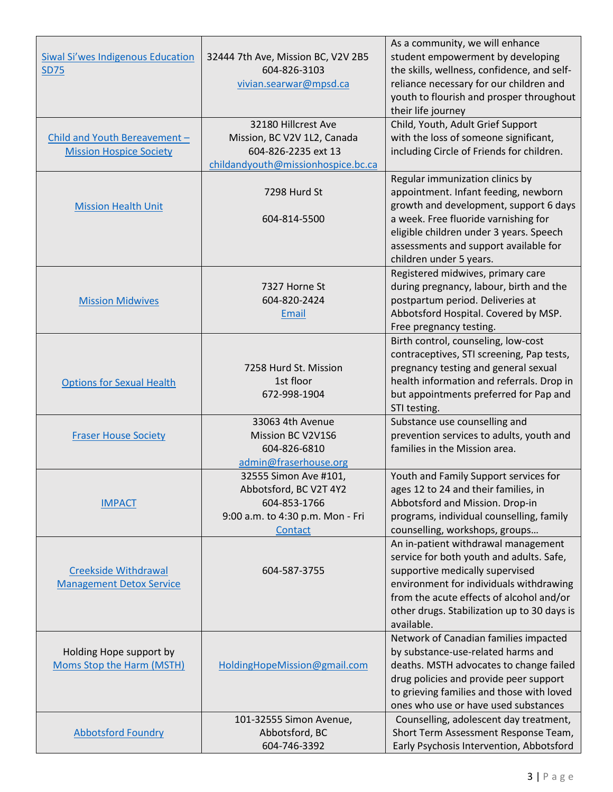| <b>Siwal Si'wes Indigenous Education</b><br><b>SD75</b>         | 32444 7th Ave, Mission BC, V2V 2B5<br>604-826-3103<br>vivian.searwar@mpsd.ca<br>32180 Hillcrest Ave            | As a community, we will enhance<br>student empowerment by developing<br>the skills, wellness, confidence, and self-<br>reliance necessary for our children and<br>youth to flourish and prosper throughout<br>their life journey<br>Child, Youth, Adult Grief Support    |
|-----------------------------------------------------------------|----------------------------------------------------------------------------------------------------------------|--------------------------------------------------------------------------------------------------------------------------------------------------------------------------------------------------------------------------------------------------------------------------|
| Child and Youth Bereavement -<br><b>Mission Hospice Society</b> | Mission, BC V2V 1L2, Canada<br>604-826-2235 ext 13<br>childandyouth@missionhospice.bc.ca                       | with the loss of someone significant,<br>including Circle of Friends for children.                                                                                                                                                                                       |
| <b>Mission Health Unit</b>                                      | 7298 Hurd St<br>604-814-5500                                                                                   | Regular immunization clinics by<br>appointment. Infant feeding, newborn<br>growth and development, support 6 days<br>a week. Free fluoride varnishing for<br>eligible children under 3 years. Speech<br>assessments and support available for<br>children under 5 years. |
| <b>Mission Midwives</b>                                         | 7327 Horne St<br>604-820-2424<br>Email                                                                         | Registered midwives, primary care<br>during pregnancy, labour, birth and the<br>postpartum period. Deliveries at<br>Abbotsford Hospital. Covered by MSP.<br>Free pregnancy testing.                                                                                      |
| <b>Options for Sexual Health</b>                                | 7258 Hurd St. Mission<br>1st floor<br>672-998-1904                                                             | Birth control, counseling, low-cost<br>contraceptives, STI screening, Pap tests,<br>pregnancy testing and general sexual<br>health information and referrals. Drop in<br>but appointments preferred for Pap and<br>STI testing.                                          |
| <b>Fraser House Society</b>                                     | 33063 4th Avenue<br>Mission BC V2V1S6<br>604-826-6810<br>admin@fraserhouse.org                                 | Substance use counselling and<br>prevention services to adults, youth and<br>families in the Mission area.                                                                                                                                                               |
| <b>IMPACT</b>                                                   | 32555 Simon Ave #101,<br>Abbotsford, BC V2T 4Y2<br>604-853-1766<br>9:00 a.m. to 4:30 p.m. Mon - Fri<br>Contact | Youth and Family Support services for<br>ages 12 to 24 and their families, in<br>Abbotsford and Mission. Drop-in<br>programs, individual counselling, family<br>counselling, workshops, groups                                                                           |
| <b>Creekside Withdrawal</b><br><b>Management Detox Service</b>  | 604-587-3755                                                                                                   | An in-patient withdrawal management<br>service for both youth and adults. Safe,<br>supportive medically supervised<br>environment for individuals withdrawing<br>from the acute effects of alcohol and/or<br>other drugs. Stabilization up to 30 days is<br>available.   |
| Holding Hope support by<br>Moms Stop the Harm (MSTH)            | HoldingHopeMission@gmail.com                                                                                   | Network of Canadian families impacted<br>by substance-use-related harms and<br>deaths. MSTH advocates to change failed<br>drug policies and provide peer support<br>to grieving families and those with loved<br>ones who use or have used substances                    |
| <b>Abbotsford Foundry</b>                                       | 101-32555 Simon Avenue,<br>Abbotsford, BC<br>604-746-3392                                                      | Counselling, adolescent day treatment,<br>Short Term Assessment Response Team,<br>Early Psychosis Intervention, Abbotsford                                                                                                                                               |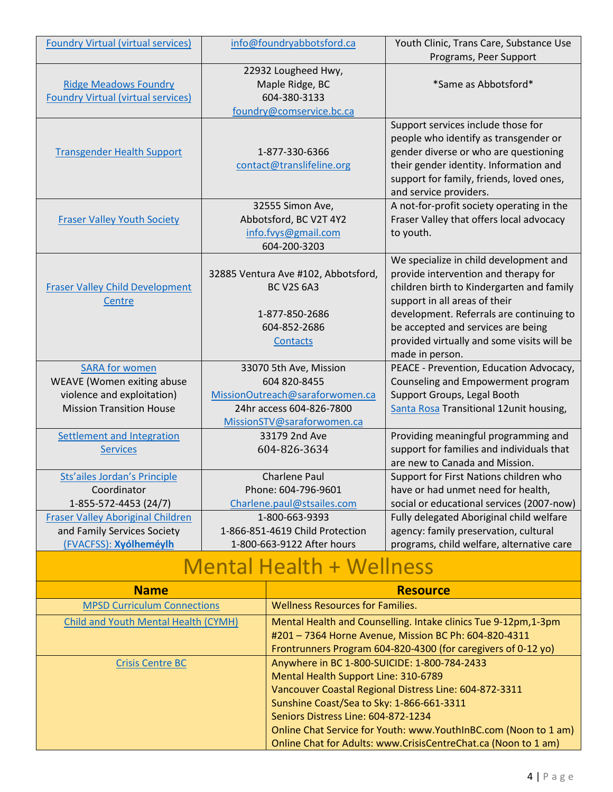| <b>Foundry Virtual (virtual services)</b> | info@foundryabbotsford.ca       |                                                                                      | Youth Clinic, Trans Care, Substance Use                                           |  |
|-------------------------------------------|---------------------------------|--------------------------------------------------------------------------------------|-----------------------------------------------------------------------------------|--|
|                                           |                                 | 22932 Lougheed Hwy,                                                                  | Programs, Peer Support                                                            |  |
| <b>Ridge Meadows Foundry</b>              |                                 |                                                                                      | *Same as Abbotsford*                                                              |  |
| <b>Foundry Virtual (virtual services)</b> | Maple Ridge, BC<br>604-380-3133 |                                                                                      |                                                                                   |  |
|                                           |                                 | foundry@comservice.bc.ca                                                             |                                                                                   |  |
|                                           |                                 |                                                                                      | Support services include those for                                                |  |
|                                           |                                 |                                                                                      | people who identify as transgender or                                             |  |
| <b>Transgender Health Support</b>         |                                 | 1-877-330-6366                                                                       | gender diverse or who are questioning                                             |  |
|                                           |                                 | contact@translifeline.org                                                            | their gender identity. Information and                                            |  |
|                                           |                                 |                                                                                      | support for family, friends, loved ones,                                          |  |
|                                           |                                 |                                                                                      | and service providers.                                                            |  |
|                                           |                                 | 32555 Simon Ave,                                                                     | A not-for-profit society operating in the                                         |  |
| <b>Fraser Valley Youth Society</b>        |                                 | Abbotsford, BC V2T 4Y2                                                               | Fraser Valley that offers local advocacy                                          |  |
|                                           |                                 | info.fvys@gmail.com                                                                  | to youth.                                                                         |  |
|                                           |                                 | 604-200-3203                                                                         |                                                                                   |  |
|                                           |                                 |                                                                                      | We specialize in child development and                                            |  |
|                                           |                                 | 32885 Ventura Ave #102, Abbotsford,                                                  | provide intervention and therapy for                                              |  |
| <b>Fraser Valley Child Development</b>    |                                 | <b>BC V2S 6A3</b>                                                                    | children birth to Kindergarten and family                                         |  |
| Centre                                    |                                 |                                                                                      | support in all areas of their                                                     |  |
|                                           |                                 | 1-877-850-2686                                                                       | development. Referrals are continuing to                                          |  |
|                                           |                                 | 604-852-2686                                                                         | be accepted and services are being                                                |  |
|                                           | <b>Contacts</b>                 |                                                                                      | provided virtually and some visits will be                                        |  |
|                                           |                                 |                                                                                      | made in person.                                                                   |  |
| <b>SARA for women</b>                     | 33070 5th Ave, Mission          |                                                                                      | PEACE - Prevention, Education Advocacy,                                           |  |
| WEAVE (Women exiting abuse                |                                 | 604 820-8455                                                                         | Counseling and Empowerment program                                                |  |
| violence and exploitation)                | MissionOutreach@saraforwomen.ca |                                                                                      | Support Groups, Legal Booth                                                       |  |
| <b>Mission Transition House</b>           | 24hr access 604-826-7800        |                                                                                      | Santa Rosa Transitional 12unit housing,                                           |  |
|                                           | MissionSTV@saraforwomen.ca      |                                                                                      |                                                                                   |  |
| Settlement and Integration                | 33179 2nd Ave                   |                                                                                      | Providing meaningful programming and<br>support for families and individuals that |  |
| <b>Services</b>                           | 604-826-3634                    |                                                                                      | are new to Canada and Mission.                                                    |  |
| <b>Sts'ailes Jordan's Principle</b>       | <b>Charlene Paul</b>            |                                                                                      | Support for First Nations children who                                            |  |
| Coordinator                               | Phone: 604-796-9601             |                                                                                      | have or had unmet need for health,                                                |  |
| 1-855-572-4453 (24/7)                     | Charlene.paul@stsailes.com      |                                                                                      | social or educational services (2007-now)                                         |  |
| <b>Fraser Valley Aboriginal Children</b>  | 1-800-663-9393                  |                                                                                      | Fully delegated Aboriginal child welfare                                          |  |
| and Family Services Society               | 1-866-851-4619 Child Protection |                                                                                      | agency: family preservation, cultural                                             |  |
| (FVACFSS): Xyólheméylh                    | 1-800-663-9122 After hours      |                                                                                      | programs, child welfare, alternative care                                         |  |
|                                           |                                 | <b>Mental Health + Wellness</b>                                                      |                                                                                   |  |
| <b>Name</b>                               |                                 |                                                                                      | <b>Resource</b>                                                                   |  |
|                                           |                                 |                                                                                      |                                                                                   |  |
| <b>MPSD Curriculum Connections</b>        |                                 | <b>Wellness Resources for Families.</b>                                              |                                                                                   |  |
| Child and Youth Mental Health (CYMH)      |                                 | Mental Health and Counselling. Intake clinics Tue 9-12pm, 1-3pm                      |                                                                                   |  |
|                                           |                                 | #201 - 7364 Horne Avenue, Mission BC Ph: 604-820-4311                                |                                                                                   |  |
| <b>Crisis Centre BC</b>                   |                                 |                                                                                      | Frontrunners Program 604-820-4300 (for caregivers of 0-12 yo)                     |  |
|                                           |                                 | Anywhere in BC 1-800-SUICIDE: 1-800-784-2433<br>Mental Health Support Line: 310-6789 |                                                                                   |  |
|                                           |                                 |                                                                                      | Vancouver Coastal Regional Distress Line: 604-872-3311                            |  |
|                                           |                                 | Sunshine Coast/Sea to Sky: 1-866-661-3311                                            |                                                                                   |  |
|                                           |                                 | Seniors Distress Line: 604-872-1234                                                  |                                                                                   |  |
|                                           |                                 |                                                                                      | Online Chat Service for Youth: www.YouthInBC.com (Noon to 1 am)                   |  |
|                                           |                                 |                                                                                      | Online Chat for Adults: www.CrisisCentreChat.ca (Noon to 1 am)                    |  |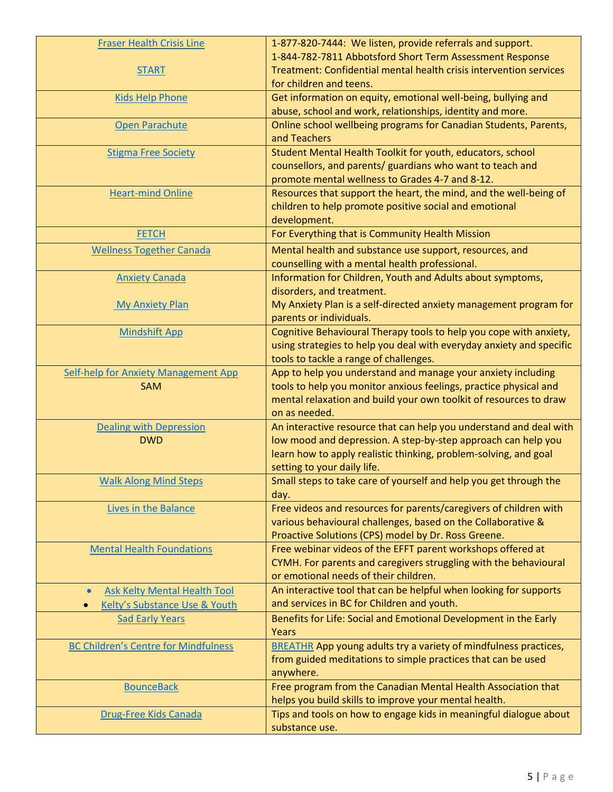| <b>Fraser Health Crisis Line</b>                 | 1-877-820-7444: We listen, provide referrals and support.                          |
|--------------------------------------------------|------------------------------------------------------------------------------------|
|                                                  | 1-844-782-7811 Abbotsford Short Term Assessment Response                           |
| <b>START</b>                                     | Treatment: Confidential mental health crisis intervention services                 |
|                                                  | for children and teens.                                                            |
| <b>Kids Help Phone</b>                           | Get information on equity, emotional well-being, bullying and                      |
|                                                  | abuse, school and work, relationships, identity and more.                          |
| Open Parachute                                   | Online school wellbeing programs for Canadian Students, Parents,                   |
|                                                  | and Teachers                                                                       |
| <b>Stigma Free Society</b>                       | Student Mental Health Toolkit for youth, educators, school                         |
|                                                  | counsellors, and parents/ guardians who want to teach and                          |
|                                                  | promote mental wellness to Grades 4-7 and 8-12.                                    |
| <b>Heart-mind Online</b>                         | Resources that support the heart, the mind, and the well-being of                  |
|                                                  | children to help promote positive social and emotional                             |
|                                                  | development.                                                                       |
| <b>FETCH</b>                                     | For Everything that is Community Health Mission                                    |
| <b>Wellness Together Canada</b>                  | Mental health and substance use support, resources, and                            |
|                                                  | counselling with a mental health professional.                                     |
| <b>Anxiety Canada</b>                            | Information for Children, Youth and Adults about symptoms,                         |
|                                                  | disorders, and treatment.                                                          |
| <b>My Anxiety Plan</b>                           | My Anxiety Plan is a self-directed anxiety management program for                  |
|                                                  | parents or individuals.                                                            |
| <b>Mindshift App</b>                             | Cognitive Behavioural Therapy tools to help you cope with anxiety,                 |
|                                                  | using strategies to help you deal with everyday anxiety and specific               |
|                                                  | tools to tackle a range of challenges.                                             |
| <b>Self-help for Anxiety Management App</b>      | App to help you understand and manage your anxiety including                       |
| <b>SAM</b>                                       | tools to help you monitor anxious feelings, practice physical and                  |
|                                                  | mental relaxation and build your own toolkit of resources to draw<br>on as needed. |
| <b>Dealing with Depression</b>                   | An interactive resource that can help you understand and deal with                 |
| <b>DWD</b>                                       | low mood and depression. A step-by-step approach can help you                      |
|                                                  | learn how to apply realistic thinking, problem-solving, and goal                   |
|                                                  | setting to your daily life.                                                        |
| <b>Walk Along Mind Steps</b>                     | Small steps to take care of yourself and help you get through the                  |
|                                                  | day.                                                                               |
| Lives in the Balance                             | Free videos and resources for parents/caregivers of children with                  |
|                                                  | various behavioural challenges, based on the Collaborative &                       |
|                                                  | Proactive Solutions (CPS) model by Dr. Ross Greene.                                |
| <b>Mental Health Foundations</b>                 | Free webinar videos of the EFFT parent workshops offered at                        |
|                                                  | CYMH. For parents and caregivers struggling with the behavioural                   |
|                                                  | or emotional needs of their children.                                              |
| <b>Ask Kelty Mental Health Tool</b><br>$\bullet$ | An interactive tool that can be helpful when looking for supports                  |
| Kelty's Substance Use & Youth                    | and services in BC for Children and youth.                                         |
| <b>Sad Early Years</b>                           | Benefits for Life: Social and Emotional Development in the Early                   |
|                                                  | Years                                                                              |
| <b>BC Children's Centre for Mindfulness</b>      | <b>BREATHR</b> App young adults try a variety of mindfulness practices,            |
|                                                  | from guided meditations to simple practices that can be used                       |
|                                                  | anywhere.                                                                          |
| <b>BounceBack</b>                                | Free program from the Canadian Mental Health Association that                      |
|                                                  | helps you build skills to improve your mental health.                              |
| Drug-Free Kids Canada                            | Tips and tools on how to engage kids in meaningful dialogue about                  |
|                                                  | substance use.                                                                     |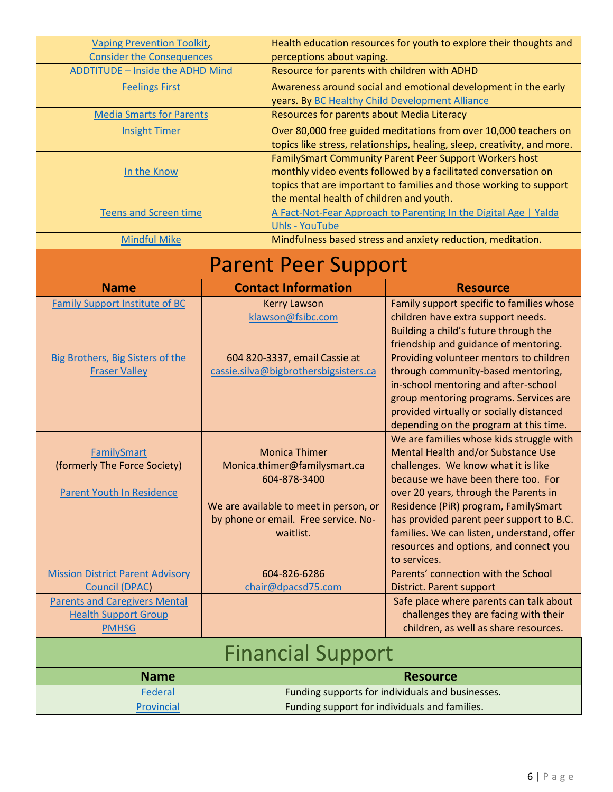| <b>Vaping Prevention Toolkit,</b>                                |                                        |                                                                                                                                    | Health education resources for youth to explore their thoughts and               |  |
|------------------------------------------------------------------|----------------------------------------|------------------------------------------------------------------------------------------------------------------------------------|----------------------------------------------------------------------------------|--|
| <b>Consider the Consequences</b>                                 |                                        | perceptions about vaping.                                                                                                          |                                                                                  |  |
| <b>ADDTITUDE - Inside the ADHD Mind</b>                          |                                        | Resource for parents with children with ADHD                                                                                       |                                                                                  |  |
| <b>Feelings First</b>                                            |                                        |                                                                                                                                    | Awareness around social and emotional development in the early                   |  |
|                                                                  |                                        | years. By BC Healthy Child Development Alliance                                                                                    |                                                                                  |  |
| <b>Media Smarts for Parents</b>                                  |                                        | Resources for parents about Media Literacy                                                                                         |                                                                                  |  |
| <b>Insight Timer</b>                                             |                                        |                                                                                                                                    | Over 80,000 free guided meditations from over 10,000 teachers on                 |  |
|                                                                  |                                        | topics like stress, relationships, healing, sleep, creativity, and more.<br>FamilySmart Community Parent Peer Support Workers host |                                                                                  |  |
| In the Know                                                      |                                        | monthly video events followed by a facilitated conversation on                                                                     |                                                                                  |  |
|                                                                  |                                        | topics that are important to families and those working to support                                                                 |                                                                                  |  |
|                                                                  |                                        | the mental health of children and youth.                                                                                           |                                                                                  |  |
| <b>Teens and Screen time</b>                                     |                                        |                                                                                                                                    | A Fact-Not-Fear Approach to Parenting In the Digital Age   Yalda                 |  |
|                                                                  |                                        | <b>Uhls - YouTube</b>                                                                                                              |                                                                                  |  |
| <b>Mindful Mike</b>                                              |                                        |                                                                                                                                    | Mindfulness based stress and anxiety reduction, meditation.                      |  |
|                                                                  |                                        | <b>Parent Peer Support</b>                                                                                                         |                                                                                  |  |
| <b>Name</b>                                                      |                                        | <b>Contact Information</b>                                                                                                         | <b>Resource</b>                                                                  |  |
| <b>Family Support Institute of BC</b>                            |                                        | <b>Kerry Lawson</b>                                                                                                                | Family support specific to families whose                                        |  |
|                                                                  |                                        | klawson@fsibc.com                                                                                                                  | children have extra support needs.                                               |  |
|                                                                  |                                        |                                                                                                                                    | Building a child's future through the                                            |  |
| <b>Big Brothers, Big Sisters of the</b>                          |                                        | 604 820-3337, email Cassie at                                                                                                      | friendship and guidance of mentoring.<br>Providing volunteer mentors to children |  |
| <b>Fraser Valley</b>                                             |                                        | cassie.silva@bigbrothersbigsisters.ca                                                                                              | through community-based mentoring,                                               |  |
|                                                                  |                                        |                                                                                                                                    | in-school mentoring and after-school                                             |  |
|                                                                  |                                        |                                                                                                                                    | group mentoring programs. Services are                                           |  |
|                                                                  |                                        |                                                                                                                                    | provided virtually or socially distanced                                         |  |
|                                                                  |                                        |                                                                                                                                    | depending on the program at this time.                                           |  |
|                                                                  |                                        |                                                                                                                                    | We are families whose kids struggle with                                         |  |
| FamilySmart<br>(formerly The Force Society)                      |                                        | <b>Monica Thimer</b><br>Monica.thimer@familysmart.ca                                                                               | Mental Health and/or Substance Use<br>challenges. We know what it is like        |  |
|                                                                  |                                        | 604-878-3400                                                                                                                       | because we have been there too. For                                              |  |
| <b>Parent Youth In Residence</b>                                 |                                        |                                                                                                                                    | over 20 years, through the Parents in                                            |  |
|                                                                  | We are available to meet in person, or |                                                                                                                                    | Residence (PiR) program, FamilySmart                                             |  |
|                                                                  | by phone or email. Free service. No-   |                                                                                                                                    | has provided parent peer support to B.C.                                         |  |
|                                                                  | waitlist.                              |                                                                                                                                    | families. We can listen, understand, offer                                       |  |
|                                                                  |                                        |                                                                                                                                    | resources and options, and connect you                                           |  |
|                                                                  |                                        |                                                                                                                                    | to services.<br>Parents' connection with the School                              |  |
| <b>Mission District Parent Advisory</b><br><b>Council (DPAC)</b> | 604-826-6286<br>chair@dpacsd75.com     |                                                                                                                                    | District. Parent support                                                         |  |
| <b>Parents and Caregivers Mental</b>                             |                                        |                                                                                                                                    | Safe place where parents can talk about                                          |  |
| <b>Health Support Group</b>                                      |                                        |                                                                                                                                    | challenges they are facing with their                                            |  |
| <b>PMHSG</b>                                                     |                                        |                                                                                                                                    | children, as well as share resources.                                            |  |
|                                                                  |                                        | <b>Financial Support</b>                                                                                                           |                                                                                  |  |
|                                                                  |                                        |                                                                                                                                    |                                                                                  |  |
| <b>Name</b>                                                      |                                        |                                                                                                                                    | <b>Resource</b>                                                                  |  |

| -----      | <b>1 and Depoted Torman readily and Dabiness</b>       |
|------------|--------------------------------------------------------|
| Provincial | <b>I</b> Funding support for individuals and families. |